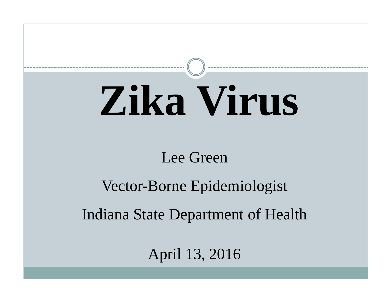# **Zika Virus**

#### Lee Green

#### Vector-Borne Epidemiologist

#### Indiana State Department of Health

April 13, 2016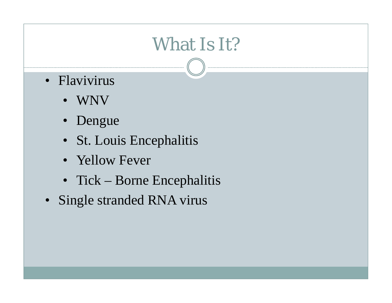# What Is It?

- Flavivirus
	- WNV
	- Dengue
	- St. Louis Encephalitis
	- Yellow Fever
	- Tick Borne Encephalitis
- Single stranded RNA virus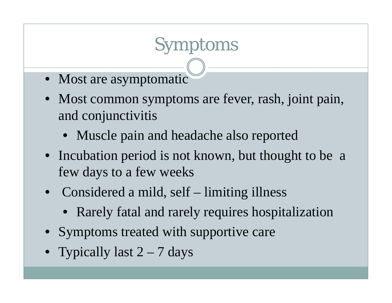# Symptoms

- Most are asymptomatic
- Most common symptoms are fever, rash, joint pain, and conjunctivitis
	- Muscle pain and headache also reported
- Incubation period is not known, but thought to be a few days to a few weeks
- Considered a mild, self limiting illness
	- Rarely fatal and rarely requires hospitalization
- Symptoms treated with supportive care
- Typically last 2 7 days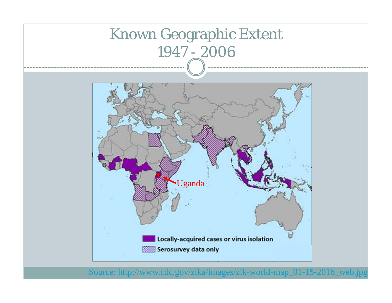

Source: http://www.cdc.gov/zika/images/zik-world-map\_01-15-2016\_web.jpg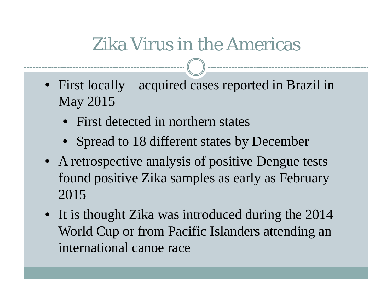# Zika Virus in the Americas

- First locally acquired cases reported in Brazil in May 2015
	- First detected in northern states
	- Spread to 18 different states by December
- A retrospective analysis of positive Dengue tests found positive Zika samples as early as February 2015
- It is thought Zika was introduced during the 2014 World Cup or from Pacific Islanders attending an international canoe race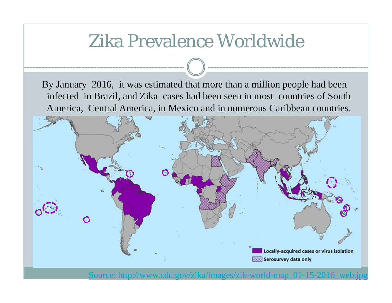## Zika Prevalence Worldwide

By January 2016, it was estimated that more than a million people had been infected in Brazil, and Zika cases had been seen in most countries of South America, Central America, in Mexico and in numerous Caribbean countries.



gov/zika/images/zik-wor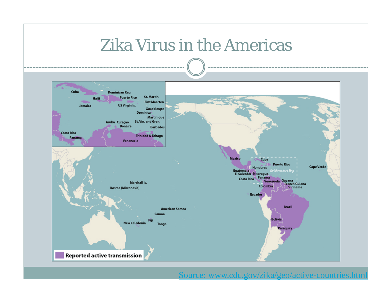#### Zika Virus in the Americas



Source: www.cdc.gov/zika/geo/active-countries.html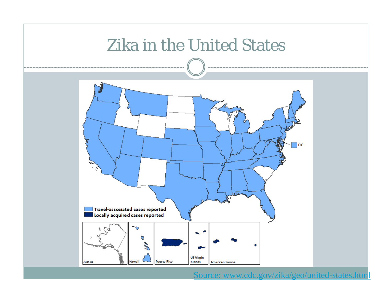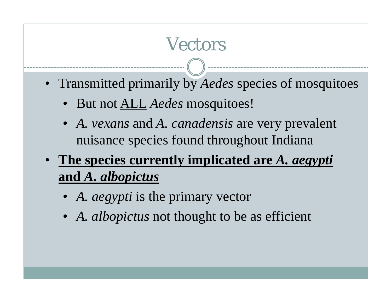# Vectors

- Transmitted primarily by *Aedes* species of mosquitoes
	- But not ALL *Aedes* mosquitoes!
	- *A. vexans* and *A. canadensis* are very prevalent nuisance species found throughout Indiana
- **The species currently implicated are** *A. aegypti*  **and** *A. albopictus*
	- *A. aegypti* is the primary vector
	- *A. albopictus* not thought to be as efficient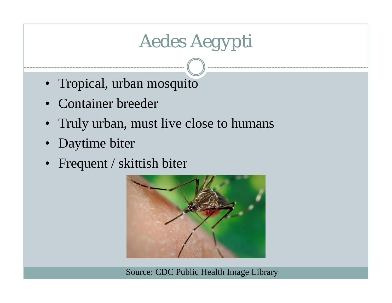# *Aedes Aegypti*

- Tropical, urban mosquito
- Container breeder
- Truly urban, must live close to humans
- Daytime biter
- Frequent / skittish biter



Source: CDC Public Health Image Library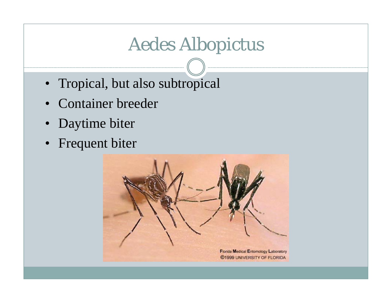# *Aedes Albopictus*

- Tropical, but also subtropical
- Container breeder
- Daytime biter
- Frequent biter

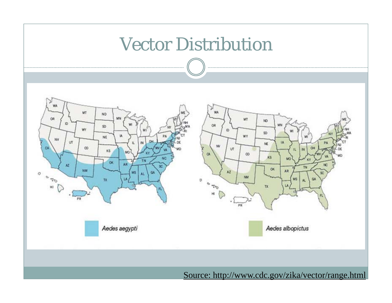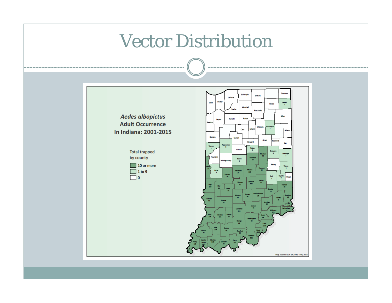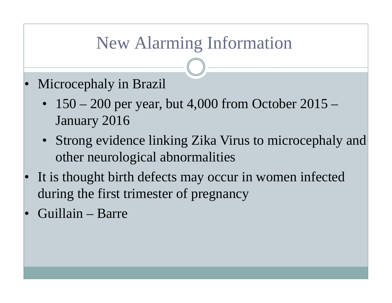## New Alarming Information

- • Microcephaly in Brazil
	- 150 200 per year, but 4,000 from October 2015 January 2016
	- Strong evidence linking Zika Virus to microcephaly and other neurological abnormalities
- • It is thought birth defects may occur in women infected during the first trimester of pregnancy
- •Guillain – Barre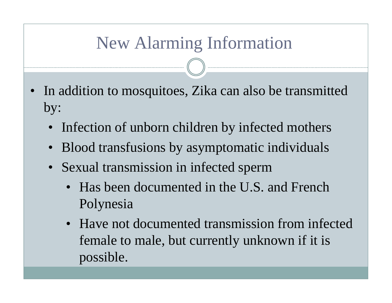## New Alarming Information

- • In addition to mosquitoes, Zika can also be transmitted by:
	- Infection of unborn children by infected mothers
	- Blood transfusions by asymptomatic individuals
	- Sexual transmission in infected sperm
		- Has been documented in the U.S. and French Polynesia
		- Have not documented transmission from infected female to male, but currently unknown if it is possible.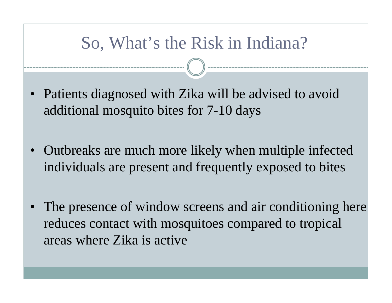#### So, What's the Risk in Indiana?

- Patients diagnosed with Zika will be advised to avoid additional mosquito bites for 7-10 days
- • Outbreaks are much more likely when multiple infected individuals are present and frequently exposed to bites
- • The presence of window screens and air conditioning here reduces contact with mosquitoes compared to tropical areas where Zika is active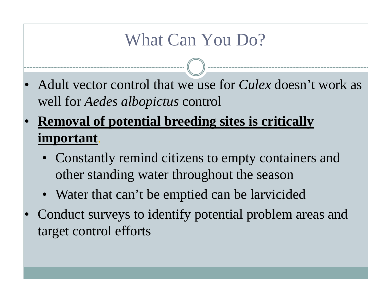#### What Can You Do?

- • Adult vector control that we use for *Culex* doesn't work as well for *Aedes albopictus* control
- • **Removal of potential breeding sites is critically important**.
	- • Constantly remind citizens to empty containers and other standing water throughout the season
	- Water that can't be emptied can be larvicided
- • Conduct surveys to identify potential problem areas and target control efforts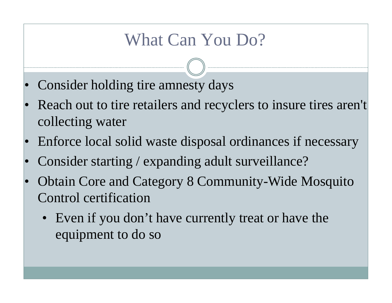#### What Can You Do?

- •Consider holding tire amnesty days
- • Reach out to tire retailers and recyclers to insure tires aren't collecting water
- •Enforce local solid waste disposal ordinances if necessary
- •Consider starting / expanding adult surveillance?
- • Obtain Core and Category 8 Community-Wide Mosquito Control certification
	- Even if you don't have currently treat or have the equipment to do so